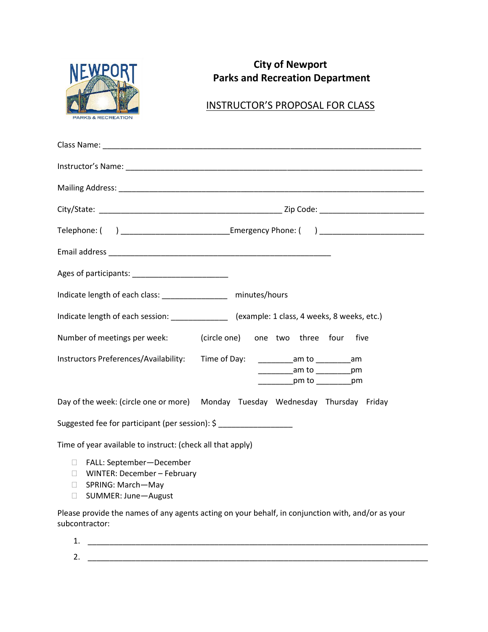

subcontractor:

# **City of Newport Parks and Recreation Department**

## INSTRUCTOR'S PROPOSAL FOR CLASS

|                                                                                                                                  | Telephone: ( ) ______________________________Emergency Phone: ( ) _________________________________ |
|----------------------------------------------------------------------------------------------------------------------------------|-----------------------------------------------------------------------------------------------------|
|                                                                                                                                  |                                                                                                     |
|                                                                                                                                  |                                                                                                     |
| Indicate length of each class: _________________ minutes/hours                                                                   |                                                                                                     |
| Indicate length of each session: _______________ (example: 1 class, 4 weeks, 8 weeks, etc.)                                      |                                                                                                     |
| Number of meetings per week: (circle one) one two three four five                                                                |                                                                                                     |
| Instructors Preferences/Availability: Time of Day:                                                                               | ______________am to ______________am<br>____________am to ___________pm<br>er pm to _____________pm |
| Day of the week: (circle one or more) Monday Tuesday Wednesday Thursday Friday                                                   |                                                                                                     |
| Suggested fee for participant (per session): \$                                                                                  |                                                                                                     |
| Time of year available to instruct: (check all that apply)                                                                       |                                                                                                     |
| □ FALL: September-December<br>$\Box$ WINTER: December - February<br>□ SPRING: March-May<br>SUMMER: June-August<br><b>College</b> |                                                                                                     |
|                                                                                                                                  | Please provide the names of any agents acting on your behalf, in conjunction with, and/or as your   |

1. \_\_\_\_\_\_\_\_\_\_\_\_\_\_\_\_\_\_\_\_\_\_\_\_\_\_\_\_\_\_\_\_\_\_\_\_\_\_\_\_\_\_\_\_\_\_\_\_\_\_\_\_\_\_\_\_\_\_\_\_\_\_\_\_\_\_\_\_\_\_\_\_\_\_\_\_\_\_ 2. \_\_\_\_\_\_\_\_\_\_\_\_\_\_\_\_\_\_\_\_\_\_\_\_\_\_\_\_\_\_\_\_\_\_\_\_\_\_\_\_\_\_\_\_\_\_\_\_\_\_\_\_\_\_\_\_\_\_\_\_\_\_\_\_\_\_\_\_\_\_\_\_\_\_\_\_\_\_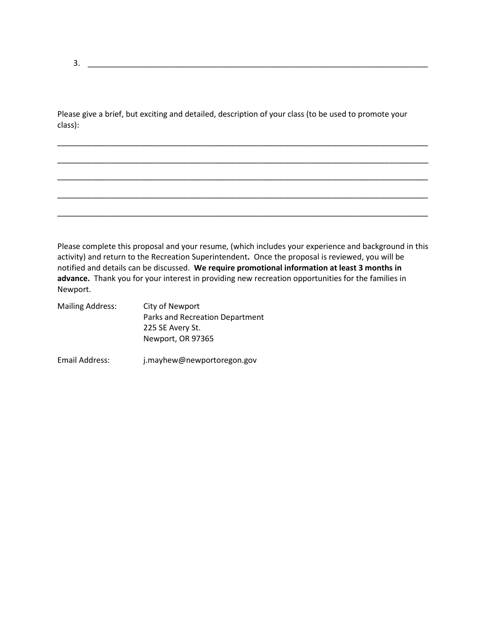|         | Please give a brief, but exciting and detailed, description of your class (to be used to promote your |  |  |
|---------|-------------------------------------------------------------------------------------------------------|--|--|
| class): |                                                                                                       |  |  |

\_\_\_\_\_\_\_\_\_\_\_\_\_\_\_\_\_\_\_\_\_\_\_\_\_\_\_\_\_\_\_\_\_\_\_\_\_\_\_\_\_\_\_\_\_\_\_\_\_\_\_\_\_\_\_\_\_\_\_\_\_\_\_\_\_\_\_\_\_\_\_\_\_\_\_\_\_\_\_\_\_\_\_\_\_

\_\_\_\_\_\_\_\_\_\_\_\_\_\_\_\_\_\_\_\_\_\_\_\_\_\_\_\_\_\_\_\_\_\_\_\_\_\_\_\_\_\_\_\_\_\_\_\_\_\_\_\_\_\_\_\_\_\_\_\_\_\_\_\_\_\_\_\_\_\_\_\_\_\_\_\_\_\_\_\_\_\_\_\_\_

\_\_\_\_\_\_\_\_\_\_\_\_\_\_\_\_\_\_\_\_\_\_\_\_\_\_\_\_\_\_\_\_\_\_\_\_\_\_\_\_\_\_\_\_\_\_\_\_\_\_\_\_\_\_\_\_\_\_\_\_\_\_\_\_\_\_\_\_\_\_\_\_\_\_\_\_\_\_\_\_\_\_\_\_\_

\_\_\_\_\_\_\_\_\_\_\_\_\_\_\_\_\_\_\_\_\_\_\_\_\_\_\_\_\_\_\_\_\_\_\_\_\_\_\_\_\_\_\_\_\_\_\_\_\_\_\_\_\_\_\_\_\_\_\_\_\_\_\_\_\_\_\_\_\_\_\_\_\_\_\_\_\_\_\_\_\_\_\_\_\_

\_\_\_\_\_\_\_\_\_\_\_\_\_\_\_\_\_\_\_\_\_\_\_\_\_\_\_\_\_\_\_\_\_\_\_\_\_\_\_\_\_\_\_\_\_\_\_\_\_\_\_\_\_\_\_\_\_\_\_\_\_\_\_\_\_\_\_\_\_\_\_\_\_\_\_\_\_\_\_\_\_\_\_\_\_

Please complete this proposal and your resume, (which includes your experience and background in this activity) and return to the Recreation Superintendent**.** Once the proposal is reviewed, you will be notified and details can be discussed. **We require promotional information at least 3 months in advance.** Thank you for your interest in providing new recreation opportunities for the families in Newport.

| <b>Mailing Address:</b> | City of Newport                 |  |
|-------------------------|---------------------------------|--|
|                         | Parks and Recreation Department |  |
|                         | 225 SE Avery St.                |  |
|                         | Newport, OR 97365               |  |
|                         |                                 |  |
| Email Address:          | j.mayhew@newportoregon.gov      |  |

3. \_\_\_\_\_\_\_\_\_\_\_\_\_\_\_\_\_\_\_\_\_\_\_\_\_\_\_\_\_\_\_\_\_\_\_\_\_\_\_\_\_\_\_\_\_\_\_\_\_\_\_\_\_\_\_\_\_\_\_\_\_\_\_\_\_\_\_\_\_\_\_\_\_\_\_\_\_\_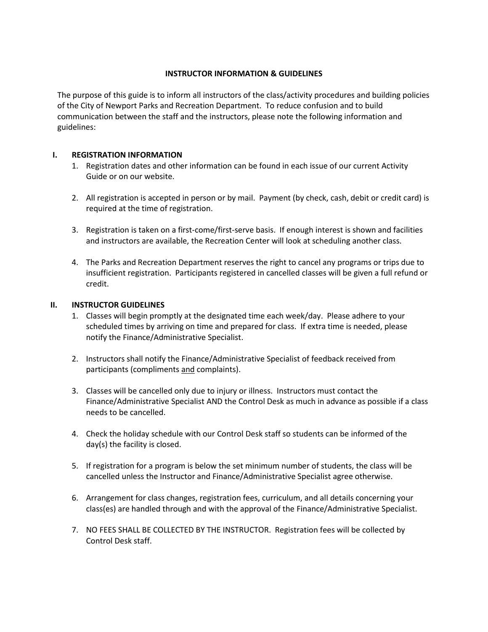#### **INSTRUCTOR INFORMATION & GUIDELINES**

The purpose of this guide is to inform all instructors of the class/activity procedures and building policies of the City of Newport Parks and Recreation Department. To reduce confusion and to build communication between the staff and the instructors, please note the following information and guidelines:

### **I. REGISTRATION INFORMATION**

- 1. Registration dates and other information can be found in each issue of our current Activity Guide or on our website.
- 2. All registration is accepted in person or by mail. Payment (by check, cash, debit or credit card) is required at the time of registration.
- 3. Registration is taken on a first-come/first-serve basis. If enough interest is shown and facilities and instructors are available, the Recreation Center will look at scheduling another class.
- 4. The Parks and Recreation Department reserves the right to cancel any programs or trips due to insufficient registration. Participants registered in cancelled classes will be given a full refund or credit.

### **II. INSTRUCTOR GUIDELINES**

- 1. Classes will begin promptly at the designated time each week/day. Please adhere to your scheduled times by arriving on time and prepared for class. If extra time is needed, please notify the Finance/Administrative Specialist.
- 2. Instructors shall notify the Finance/Administrative Specialist of feedback received from participants (compliments and complaints).
- 3. Classes will be cancelled only due to injury or illness. Instructors must contact the Finance/Administrative Specialist AND the Control Desk as much in advance as possible if a class needs to be cancelled.
- 4. Check the holiday schedule with our Control Desk staff so students can be informed of the day(s) the facility is closed.
- 5. If registration for a program is below the set minimum number of students, the class will be cancelled unless the Instructor and Finance/Administrative Specialist agree otherwise.
- 6. Arrangement for class changes, registration fees, curriculum, and all details concerning your class(es) are handled through and with the approval of the Finance/Administrative Specialist.
- 7. NO FEES SHALL BE COLLECTED BY THE INSTRUCTOR. Registration fees will be collected by Control Desk staff.